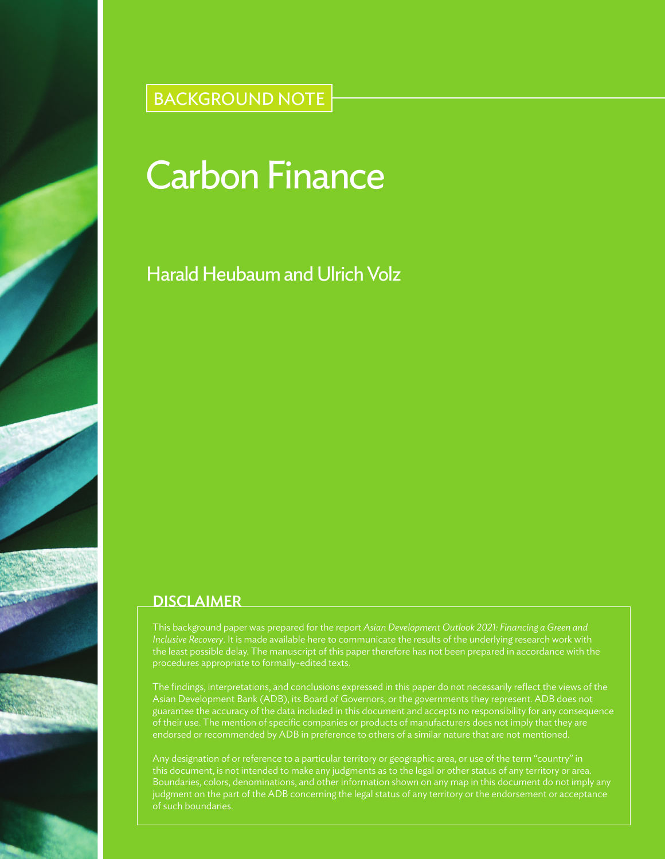# BACKGROUND NOTE

# Carbon Finance

## Harald Heubaum and Ulrich Volz

### **DISCLAIMER**

This background paper was prepared for the report *Asian Development Outlook 2021: Financing a Green and Inclusive Recovery*. It is made available here to communicate the results of the underlying research work with the least possible delay. The manuscript of this paper therefore has not been prepared in accordance with the procedures appropriate to formally-edited texts.

Asian Development Bank (ADB), its Board of Governors, or the governments they represent. ADB does not endorsed or recommended by ADB in preference to others of a similar nature that are not mentioned.

Any designation of or reference to a particular territory or geographic area, or use of the term "country" in this document, is not intended to make any judgments as to the legal or other status of any territory or area. judgment on the part of the ADB concerning the legal status of any territory or the endorsement or acceptance of such boundaries.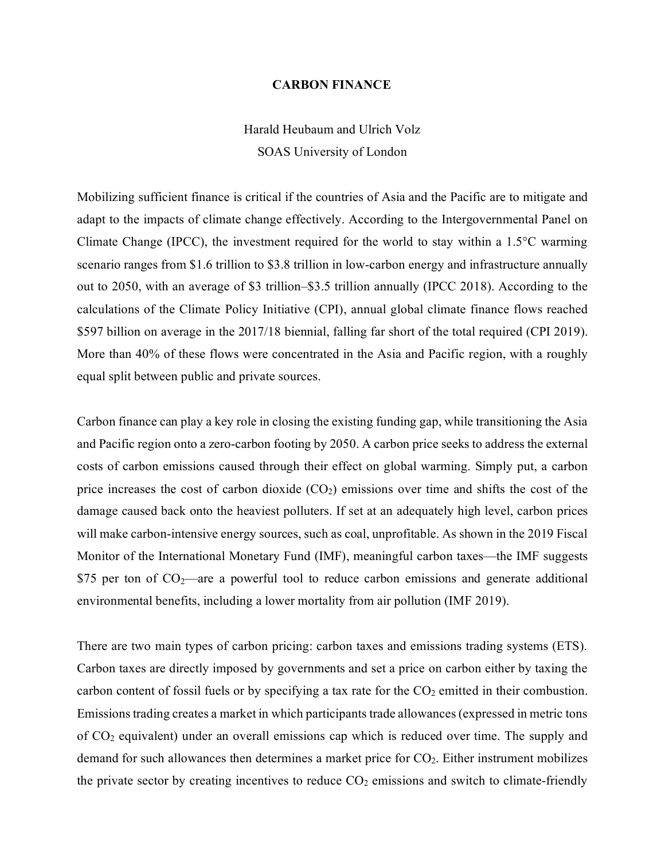#### **CARBON FINANCE**

## Harald Heubaum and Ulrich Volz SOAS University of London

Mobilizing sufficient finance is critical if the countries of Asia and the Pacific are to mitigate and adapt to the impacts of climate change effectively. According to the Intergovernmental Panel on Climate Change (IPCC), the investment required for the world to stay within a 1.5°C warming scenario ranges from \$1.6 trillion to \$3.8 trillion in low-carbon energy and infrastructure annually out to 2050, with an average of \$3 trillion–\$3.5 trillion annually (IPCC 2018). According to the calculations of the Climate Policy Initiative (CPI), annual global climate finance flows reached \$597 billion on average in the 2017/18 biennial, falling far short of the total required (CPI 2019). More than 40% of these flows were concentrated in the Asia and Pacific region, with a roughly equal split between public and private sources.

Carbon finance can play a key role in closing the existing funding gap, while transitioning the Asia and Pacific region onto a zero-carbon footing by 2050. A carbon price seeks to address the external costs of carbon emissions caused through their effect on global warming. Simply put, a carbon price increases the cost of carbon dioxide  $(CO<sub>2</sub>)$  emissions over time and shifts the cost of the damage caused back onto the heaviest polluters. If set at an adequately high level, carbon prices will make carbon-intensive energy sources, such as coal, unprofitable. As shown in the 2019 Fiscal Monitor of the International Monetary Fund (IMF), meaningful carbon taxes—the IMF suggests \$75 per ton of  $CO_2$ —are a powerful tool to reduce carbon emissions and generate additional environmental benefits, including a lower mortality from air pollution (IMF 2019).

There are two main types of carbon pricing: carbon taxes and emissions trading systems (ETS). Carbon taxes are directly imposed by governments and set a price on carbon either by taxing the carbon content of fossil fuels or by specifying a tax rate for the  $CO<sub>2</sub>$  emitted in their combustion. Emissions trading creates a market in which participants trade allowances(expressed in metric tons of CO<sup>2</sup> equivalent) under an overall emissions cap which is reduced over time. The supply and demand for such allowances then determines a market price for  $CO<sub>2</sub>$ . Either instrument mobilizes the private sector by creating incentives to reduce  $CO<sub>2</sub>$  emissions and switch to climate-friendly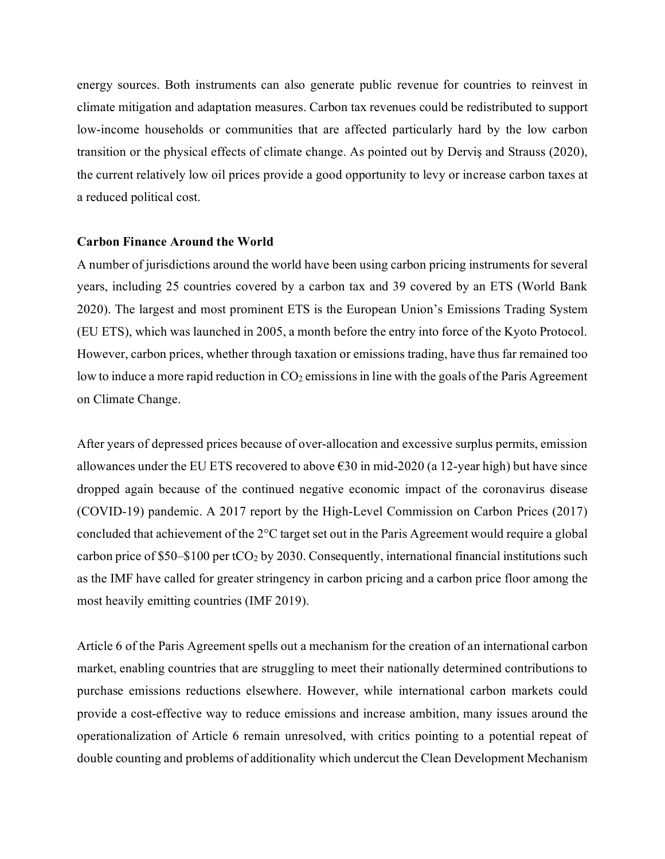energy sources. Both instruments can also generate public revenue for countries to reinvest in climate mitigation and adaptation measures. Carbon tax revenues could be redistributed to support low-income households or communities that are affected particularly hard by the low carbon transition or the physical effects of climate change. As pointed out by Derviş and Strauss (2020), the current relatively low oil prices provide a good opportunity to levy or increase carbon taxes at a reduced political cost.

#### **Carbon Finance Around the World**

A number of jurisdictions around the world have been using carbon pricing instruments for several years, including 25 countries covered by a carbon tax and 39 covered by an ETS (World Bank 2020). The largest and most prominent ETS is the European Union's Emissions Trading System (EU ETS), which was launched in 2005, a month before the entry into force of the Kyoto Protocol. However, carbon prices, whether through taxation or emissions trading, have thus far remained too low to induce a more rapid reduction in  $CO<sub>2</sub>$  emissions in line with the goals of the Paris Agreement on Climate Change.

After years of depressed prices because of over-allocation and excessive surplus permits, emission allowances under the EU ETS recovered to above  $\epsilon$ 30 in mid-2020 (a 12-year high) but have since dropped again because of the continued negative economic impact of the coronavirus disease (COVID-19) pandemic. A 2017 report by the High-Level Commission on Carbon Prices (2017) concluded that achievement of the 2°C target set out in the Paris Agreement would require a global carbon price of \$50–\$100 per tCO<sub>2</sub> by 2030. Consequently, international financial institutions such as the IMF have called for greater stringency in carbon pricing and a carbon price floor among the most heavily emitting countries (IMF 2019).

Article 6 of the Paris Agreement spells out a mechanism for the creation of an international carbon market, enabling countries that are struggling to meet their nationally determined contributions to purchase emissions reductions elsewhere. However, while international carbon markets could provide a cost-effective way to reduce emissions and increase ambition, many issues around the operationalization of Article 6 remain unresolved, with critics pointing to a potential repeat of double counting and problems of additionality which undercut the Clean Development Mechanism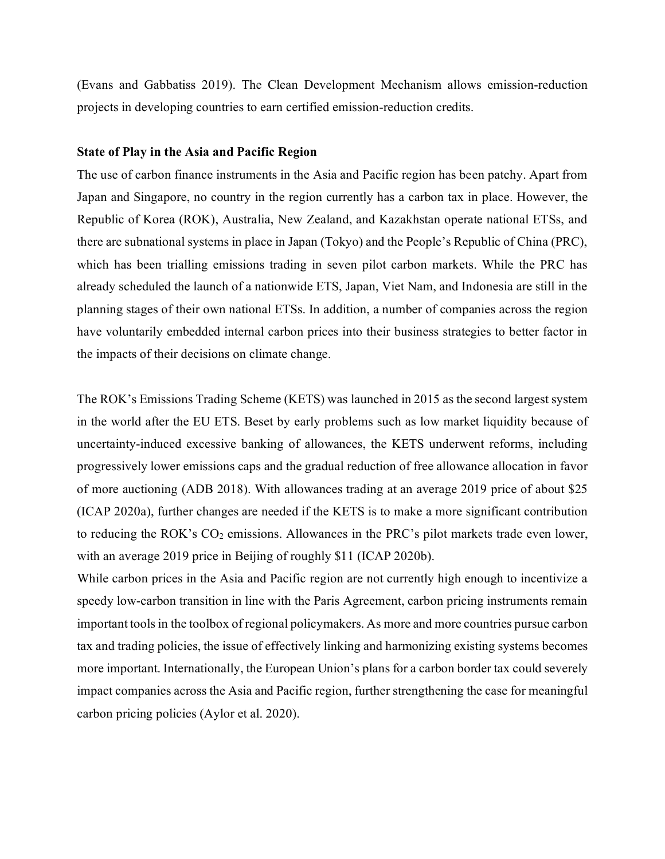(Evans and Gabbatiss 2019). The Clean Development Mechanism allows emission-reduction projects in developing countries to earn certified emission-reduction credits.

#### **State of Play in the Asia and Pacific Region**

The use of carbon finance instruments in the Asia and Pacific region has been patchy. Apart from Japan and Singapore, no country in the region currently has a carbon tax in place. However, the Republic of Korea (ROK), Australia, New Zealand, and Kazakhstan operate national ETSs, and there are subnational systems in place in Japan (Tokyo) and the People's Republic of China (PRC), which has been trialling emissions trading in seven pilot carbon markets. While the PRC has already scheduled the launch of a nationwide ETS, Japan, Viet Nam, and Indonesia are still in the planning stages of their own national ETSs. In addition, a number of companies across the region have voluntarily embedded internal carbon prices into their business strategies to better factor in the impacts of their decisions on climate change.

The ROK's Emissions Trading Scheme (KETS) was launched in 2015 as the second largest system in the world after the EU ETS. Beset by early problems such as low market liquidity because of uncertainty-induced excessive banking of allowances, the KETS underwent reforms, including progressively lower emissions caps and the gradual reduction of free allowance allocation in favor of more auctioning (ADB 2018). With allowances trading at an average 2019 price of about \$25 (ICAP 2020a), further changes are needed if the KETS is to make a more significant contribution to reducing the ROK's  $CO<sub>2</sub>$  emissions. Allowances in the PRC's pilot markets trade even lower, with an average 2019 price in Beijing of roughly \$11 (ICAP 2020b).

While carbon prices in the Asia and Pacific region are not currently high enough to incentivize a speedy low-carbon transition in line with the Paris Agreement, carbon pricing instruments remain important tools in the toolbox of regional policymakers. As more and more countries pursue carbon tax and trading policies, the issue of effectively linking and harmonizing existing systems becomes more important. Internationally, the European Union's plans for a carbon border tax could severely impact companies across the Asia and Pacific region, further strengthening the case for meaningful carbon pricing policies (Aylor et al. 2020).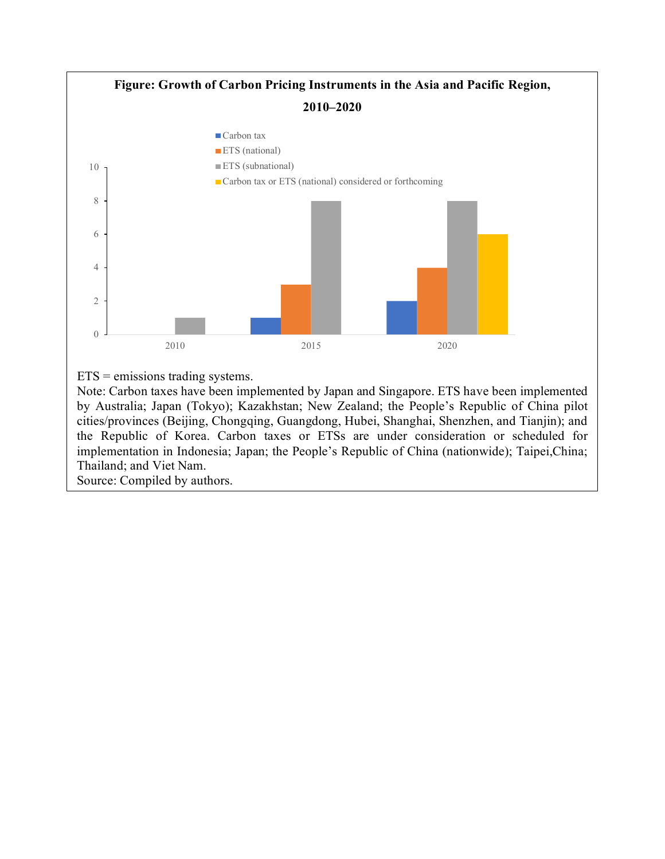

by Australia; Japan (Tokyo); Kazakhstan; New Zealand; the People's Republic of China pilot cities/provinces (Beijing, Chongqing, Guangdong, Hubei, Shanghai, Shenzhen, and Tianjin); and the Republic of Korea. Carbon taxes or ETSs are under consideration or scheduled for implementation in Indonesia; Japan; the People's Republic of China (nationwide); Taipei,China; Thailand; and Viet Nam.

Source: Compiled by authors.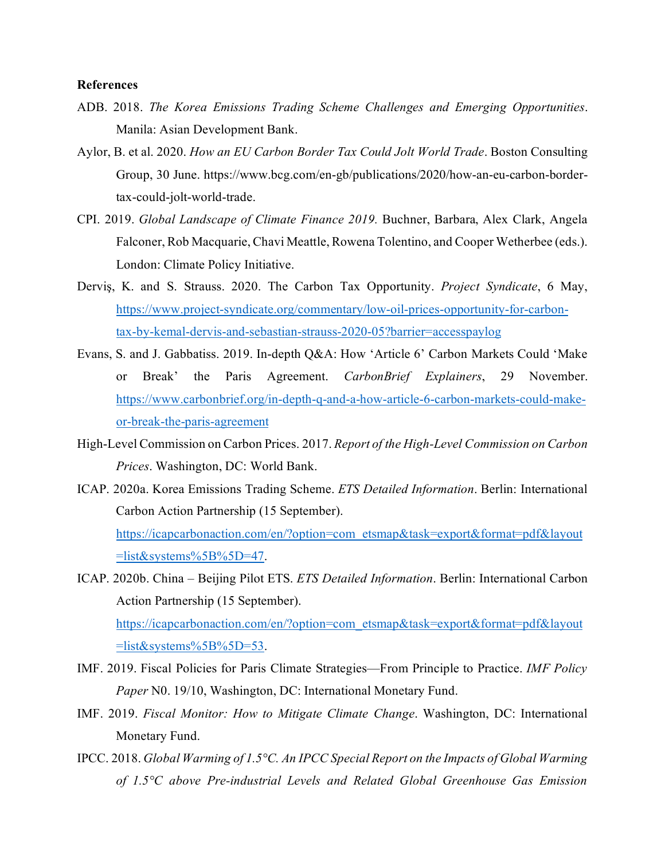#### **References**

- ADB. 2018. *The Korea Emissions Trading Scheme Challenges and Emerging Opportunities*. Manila: Asian Development Bank.
- Aylor, B. et al. 2020. *How an EU Carbon Border Tax Could Jolt World Trade*. Boston Consulting Group, 30 June. https://www.bcg.com/en-gb/publications/2020/how-an-eu-carbon-bordertax-could-jolt-world-trade.
- CPI. 2019. *Global Landscape of Climate Finance 2019.* Buchner, Barbara, Alex Clark, Angela Falconer, Rob Macquarie, Chavi Meattle, Rowena Tolentino, and Cooper Wetherbee (eds.). London: Climate Policy Initiative.
- Derviş, K. and S. Strauss. 2020. The Carbon Tax Opportunity. *Project Syndicate*, 6 May, https://www.project-syndicate.org/commentary/low-oil-prices-opportunity-for-carbontax-by-kemal-dervis-and-sebastian-strauss-2020-05?barrier=accesspaylog
- Evans, S. and J. Gabbatiss. 2019. In-depth Q&A: How 'Article 6' Carbon Markets Could 'Make or Break' the Paris Agreement. *CarbonBrief Explainers*, 29 November. https://www.carbonbrief.org/in-depth-q-and-a-how-article-6-carbon-markets-could-makeor-break-the-paris-agreement
- High-Level Commission on Carbon Prices. 2017. *Report of the High-Level Commission on Carbon Prices*. Washington, DC: World Bank.
- ICAP. 2020a. Korea Emissions Trading Scheme. *ETS Detailed Information*. Berlin: International Carbon Action Partnership (15 September). https://icapcarbonaction.com/en/?option=com\_etsmap&task=export&format=pdf&layout  $=$ list&systems%5B%5D=47.
- ICAP. 2020b. China Beijing Pilot ETS. *ETS Detailed Information*. Berlin: International Carbon Action Partnership (15 September). https://icapcarbonaction.com/en/?option=com\_etsmap&task=export&format=pdf&layout  $=$ list&systems%5B%5D=53.
- IMF. 2019. Fiscal Policies for Paris Climate Strategies—From Principle to Practice. *IMF Policy Paper* N0. 19/10, Washington, DC: International Monetary Fund.
- IMF. 2019. *Fiscal Monitor: How to Mitigate Climate Change*. Washington, DC: International Monetary Fund.
- IPCC. 2018. *Global Warming of 1.5°C. An IPCC Special Report on the Impacts of Global Warming of 1.5°C above Pre-industrial Levels and Related Global Greenhouse Gas Emission*